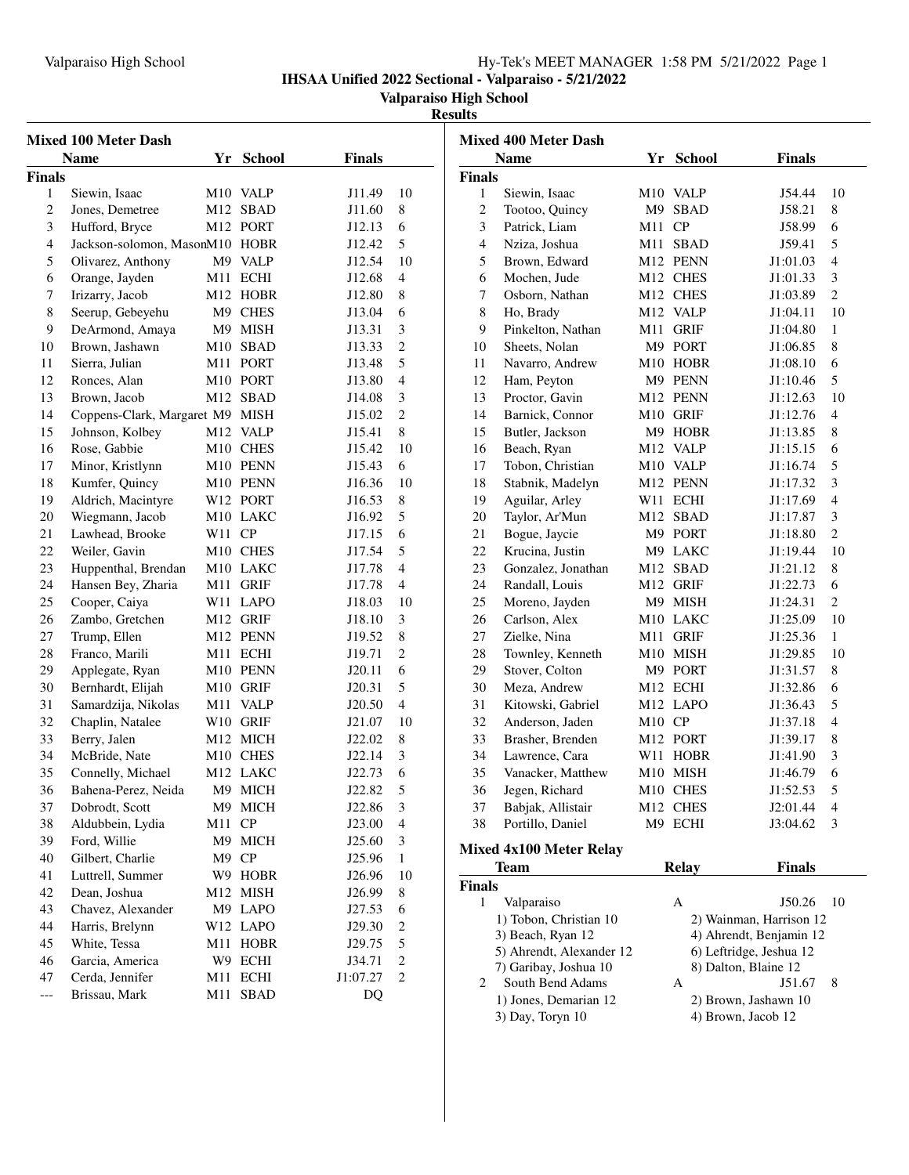## Valparaiso High School Hy-Tek's MEET MANAGER 1:58 PM 5/21/2022 Page 1

**IHSAA Unified 2022 Sectional - Valparaiso - 5/21/2022**

### **Valparaiso High School**

# **Results**

| <b>Name</b><br>Yr School<br><b>Finals</b><br>Yr School<br><b>Name</b>                                                                    |                                     |  |  |  |  |
|------------------------------------------------------------------------------------------------------------------------------------------|-------------------------------------|--|--|--|--|
|                                                                                                                                          | <b>Finals</b>                       |  |  |  |  |
| <b>Finals</b><br><b>Finals</b>                                                                                                           |                                     |  |  |  |  |
| 1<br>Siewin, Isaac<br>M <sub>10</sub> VALP<br>J11.49<br>10<br>$\mathbf{1}$<br>Siewin, Isaac<br>M <sub>10</sub> VALP                      | J54.44<br>10                        |  |  |  |  |
| $\overline{2}$<br>M12 SBAD<br>8<br>M9 SBAD<br>2<br>Tootoo, Quincy<br>Jones, Demetree<br>J11.60                                           | J58.21<br>8                         |  |  |  |  |
| 3<br>M11 CP<br>3<br>Hufford, Bryce<br>M12 PORT<br>J12.13<br>6<br>Patrick, Liam                                                           | J58.99<br>6                         |  |  |  |  |
| 5<br>$\overline{4}$<br>Jackson-solomon, MasonM10 HOBR<br>Nziza, Joshua<br>M11 SBAD<br>4<br>J12.42                                        | J59.41<br>5                         |  |  |  |  |
| 5<br>5<br>M9 VALP<br>J12.54<br>10<br>Brown, Edward<br>M12 PENN<br>Olivarez, Anthony                                                      | J1:01.03<br>$\overline{4}$          |  |  |  |  |
| 6<br>Orange, Jayden<br>M11 ECHI<br>J12.68<br>$\overline{4}$<br>Mochen, Jude<br>M12 CHES<br>6                                             | J1:01.33<br>3                       |  |  |  |  |
| 7<br>Irizarry, Jacob<br>M12 HOBR<br>8<br>M12 CHES<br>7<br>J12.80<br>Osborn, Nathan                                                       | J1:03.89<br>2                       |  |  |  |  |
| M9 CHES<br>8<br>8<br>Seerup, Gebeyehu<br>6<br>M12 VALP<br>J13.04<br>Ho, Brady                                                            | 10<br>J1:04.11                      |  |  |  |  |
| 9<br>9<br>DeArmond, Amaya<br>M9 MISH<br>J13.31<br>3<br>Pinkelton, Nathan<br>M11 GRIF                                                     | J1:04.80<br>$\mathbf{1}$            |  |  |  |  |
| $\overline{2}$<br>Brown, Jashawn<br>M10 SBAD<br>10<br>Sheets, Nolan<br>M9 PORT<br>10<br>J13.33                                           | J1:06.85<br>8                       |  |  |  |  |
| 5<br>11<br>Sierra, Julian<br>M11 PORT<br>J13.48<br>11<br>Navarro, Andrew<br>M10 HOBR                                                     | J1:08.10<br>6                       |  |  |  |  |
| 12<br>Ronces, Alan<br>M10 PORT<br>J13.80<br>$\overline{4}$<br>12<br>Ham, Peyton<br>M9 PENN                                               | 5<br>J1:10.46                       |  |  |  |  |
| Brown, Jacob<br>M12 SBAD<br>3<br>13<br>Proctor, Gavin<br>M12 PENN<br>13<br>J14.08                                                        | 10<br>J1:12.63                      |  |  |  |  |
| Coppens-Clark, Margaret M9 MISH<br>2<br>M10 GRIF<br>14<br>J15.02<br>14<br>Barnick, Connor                                                | J1:12.76<br>$\overline{4}$          |  |  |  |  |
| 8<br>15<br>Johnson, Kolbey<br>M12 VALP<br>15<br>Butler, Jackson<br>M9 HOBR<br>J15.41                                                     | 8<br>J1:13.85                       |  |  |  |  |
| Rose, Gabbie<br>M10 CHES<br>10<br>M12 VALP<br>16<br>J15.42<br>16<br>Beach, Ryan                                                          | J1:15.15<br>6                       |  |  |  |  |
| 17<br>Minor, Kristlynn<br>M10 PENN<br>6<br>17<br>Tobon, Christian<br>M10 VALP<br>J15.43                                                  | 5<br>J1:16.74                       |  |  |  |  |
| 18<br>M10 PENN<br>J16.36<br>10<br>18<br>Stabnik, Madelyn<br>M12 PENN<br>Kumfer, Quincy                                                   | J1:17.32<br>3                       |  |  |  |  |
| 8<br>19<br>Aldrich, Macintyre<br>W12 PORT<br>J16.53<br>19<br>Aguilar, Arley<br>W11 ECHI                                                  | J1:17.69<br>$\overline{4}$          |  |  |  |  |
| 5<br>20<br>20<br>Wiegmann, Jacob<br>M10 LAKC<br>J16.92<br>Taylor, Ar'Mun<br>M12 SBAD                                                     | J1:17.87<br>3                       |  |  |  |  |
| W11 CP<br>6<br>21<br>Lawhead, Brooke<br>J17.15<br>21<br>Bogue, Jaycie<br>M9 PORT                                                         | 2<br>J1:18.80                       |  |  |  |  |
| 22<br>Weiler, Gavin<br>M10 CHES<br>J17.54<br>5<br>22<br>Krucina, Justin<br>M9 LAKC                                                       | 10<br>J1:19.44                      |  |  |  |  |
| 23<br>M12 SBAD<br>23<br>Huppenthal, Brendan<br>M10 LAKC<br>J17.78<br>$\overline{4}$<br>Gonzalez, Jonathan                                | 8<br>J1:21.12                       |  |  |  |  |
| M11 GRIF<br>24<br>Hansen Bey, Zharia<br>J17.78<br>$\overline{4}$<br>24<br>Randall, Louis<br>M12 GRIF                                     | J1:22.73<br>6                       |  |  |  |  |
| M9 MISH<br>25<br>Cooper, Caiya<br>W11 LAPO<br>10<br>25<br>J18.03<br>Moreno, Jayden                                                       | J1:24.31<br>2                       |  |  |  |  |
| M12 GRIF<br>3<br>26<br>Zambo, Gretchen<br>J18.10<br>26<br>Carlson, Alex<br>M10 LAKC                                                      | J1:25.09<br>10                      |  |  |  |  |
| M11 GRIF<br>27<br>M12 PENN<br>J19.52<br>8<br>27<br>Zielke, Nina<br>Trump, Ellen                                                          | J1:25.36<br>$\mathbf{1}$            |  |  |  |  |
| M11 ECHI<br>$\overline{c}$<br>M10 MISH<br>28<br>Franco, Marili<br>J19.71<br>28<br>Townley, Kenneth                                       | J1:29.85<br>-10                     |  |  |  |  |
| 29<br>M10 PENN<br>6<br>29<br>Stover, Colton<br>M9 PORT<br>Applegate, Ryan<br>J20.11                                                      | 8<br>J1:31.57                       |  |  |  |  |
| 5<br>30<br>M10 GRIF<br>J20.31<br>30<br>Meza, Andrew<br>M12 ECHI<br>Bernhardt, Elijah                                                     | J1:32.86<br>6                       |  |  |  |  |
| 31<br>M11 VALP<br>$\overline{4}$<br>31<br>Kitowski, Gabriel<br>M12 LAPO<br>Samardzija, Nikolas<br>J20.50                                 | J1:36.43<br>5                       |  |  |  |  |
| 32<br>W10 GRIF<br>32<br>M10 CP<br>Chaplin, Natalee<br>J21.07<br>10<br>Anderson, Jaden                                                    | J1:37.18<br>$\overline{4}$          |  |  |  |  |
| 8<br>33<br>Berry, Jalen<br>M12 MICH<br>J22.02<br>33<br>Brasher, Brenden<br>M12 PORT                                                      | 8<br>J1:39.17                       |  |  |  |  |
| 34<br>McBride, Nate<br>M10 CHES<br>3<br>34<br>Lawrence, Cara<br>J22.14<br>W11 HOBR                                                       | 3<br>J1:41.90                       |  |  |  |  |
| 6<br>35<br>M12 LAKC<br>J22.73<br>35<br>Vanacker, Matthew<br>M10 MISH<br>Connelly, Michael                                                | 6<br>J1:46.79                       |  |  |  |  |
| J22.82<br>5<br>36<br>36<br>M9 MICH<br>Jegen, Richard<br>M10 CHES<br>Bahena-Perez, Neida                                                  | J1:52.53<br>5                       |  |  |  |  |
| Dobrodt, Scott<br>M9 MICH<br>J22.86<br>3<br>Babjak, Allistair<br>M12 CHES<br>37<br>37                                                    | J2:01.44<br>$\overline{4}$          |  |  |  |  |
| 38<br>M11 CP<br>Portillo, Daniel<br>M9 ECHI<br>Aldubbein, Lydia<br>J23.00<br>$\overline{4}$<br>38                                        | J3:04.62<br>3                       |  |  |  |  |
| 39<br>Ford, Willie<br>M9 MICH<br>J25.60<br>3                                                                                             |                                     |  |  |  |  |
| <b>Mixed 4x100 Meter Relay</b><br>Gilbert, Charlie<br>M9 CP<br>J25.96<br>40<br>1                                                         |                                     |  |  |  |  |
| <b>Team</b><br><b>Relay</b><br>Luttrell, Summer<br>W9 HOBR<br>J26.96<br>41<br>10                                                         | <b>Finals</b>                       |  |  |  |  |
| <b>Finals</b><br>Dean, Joshua<br>M12 MISH<br>42<br>J26.99<br>8                                                                           |                                     |  |  |  |  |
| Valparaiso<br>A<br>$\mathbf{1}$<br>Chavez, Alexander<br>M9 LAPO<br>43<br>J27.53<br>6                                                     | J50.26<br>- 10                      |  |  |  |  |
| 1) Tobon, Christian 10<br>44<br>Harris, Brelynn<br>W12 LAPO<br>J29.30<br>2                                                               | 2) Wainman, Harrison 12             |  |  |  |  |
| 3) Beach, Ryan 12<br>White, Tessa<br>M11 HOBR<br>J29.75<br>5<br>45                                                                       | 4) Ahrendt, Benjamin 12             |  |  |  |  |
|                                                                                                                                          | 6) Leftridge, Jeshua 12             |  |  |  |  |
| 5) Ahrendt, Alexander 12<br>2                                                                                                            |                                     |  |  |  |  |
| Garcia, America<br>W9 ECHI<br>J34.71<br>46<br>7) Garibay, Joshua 10<br>2<br>47                                                           | 8) Dalton, Blaine 12                |  |  |  |  |
| Cerda, Jennifer<br>M11 ECHI<br>J1:07.27<br>South Bend Adams<br>2<br>A<br>Brissau, Mark<br>M11 SBAD<br>DQ<br>---<br>1) Jones, Demarian 12 | 8<br>J51.67<br>2) Brown, Jashawn 10 |  |  |  |  |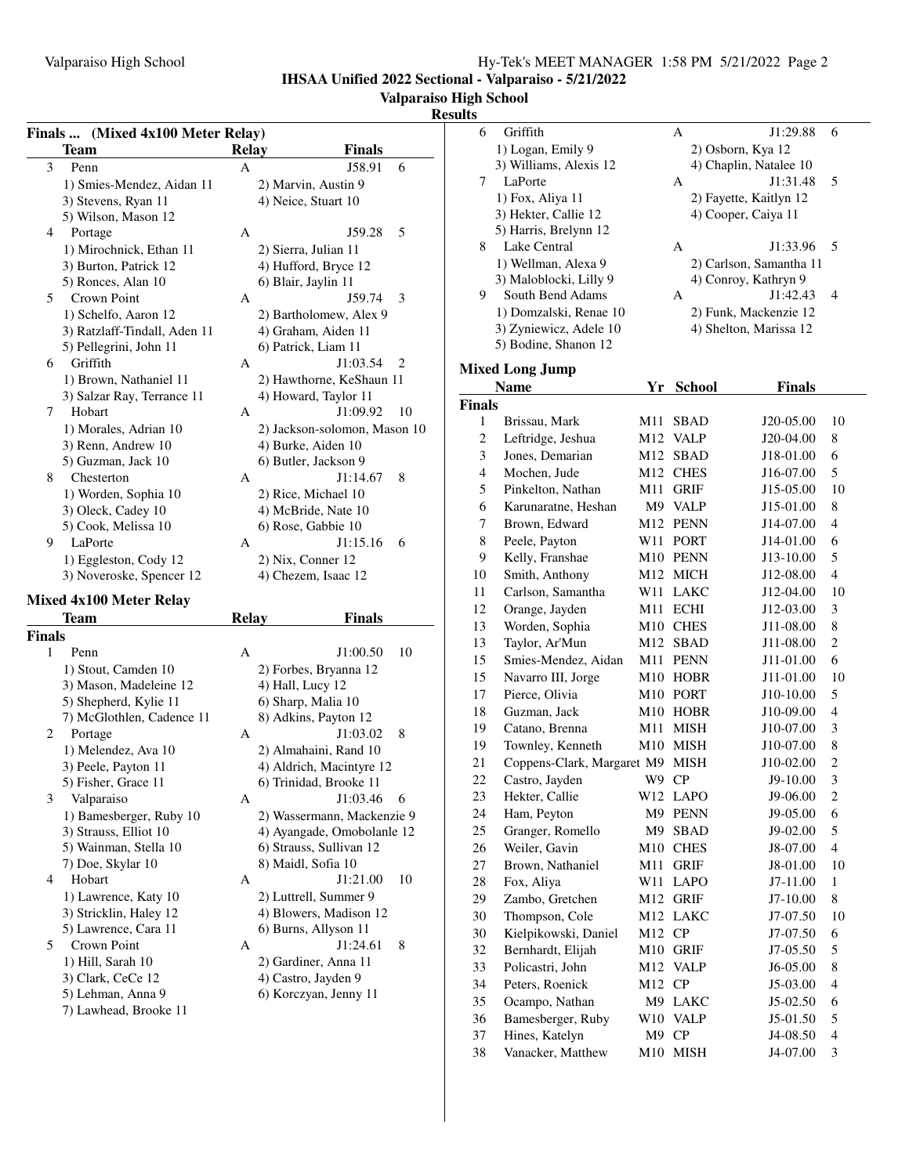**IHSAA Unified 2022 Sectional - Valparaiso - 5/21/2022**

### **Valparaiso High School**

#### **Results**

|               | Finals  (Mixed 4x100 Meter Relay) |              |                              |
|---------------|-----------------------------------|--------------|------------------------------|
|               | Team                              | <b>Relay</b> | Finals                       |
| 3             | Penn                              | А            | J58.91<br>6                  |
|               | 1) Smies-Mendez, Aidan 11         |              | 2) Marvin, Austin 9          |
|               | 3) Stevens, Ryan 11               |              | 4) Neice, Stuart 10          |
|               | 5) Wilson, Mason 12               |              |                              |
| 4             | Portage                           | А            | J59.28<br>5                  |
|               | 1) Mirochnick, Ethan 11           |              | 2) Sierra, Julian 11         |
|               | 3) Burton, Patrick 12             |              | 4) Hufford, Bryce 12         |
|               | 5) Ronces, Alan 10                |              | 6) Blair, Jaylin 11          |
| 5             | Crown Point                       | А            | J59.74<br>3                  |
|               | 1) Schelfo, Aaron 12              |              | 2) Bartholomew, Alex 9       |
|               | 3) Ratzlaff-Tindall, Aden 11      |              | 4) Graham, Aiden 11          |
|               | 5) Pellegrini, John 11            |              | 6) Patrick, Liam 11          |
| 6             | Griffith                          | А            | J1:03.54<br>2                |
|               | 1) Brown, Nathaniel 11            |              | 2) Hawthorne, KeShaun 11     |
|               | 3) Salzar Ray, Terrance 11        |              | 4) Howard, Taylor 11         |
| 7             | Hobart                            | А            | J1:09.92<br>10               |
|               | 1) Morales, Adrian 10             |              | 2) Jackson-solomon, Mason 10 |
|               | 3) Renn, Andrew 10                |              | 4) Burke, Aiden 10           |
|               | 5) Guzman, Jack 10                |              | 6) Butler, Jackson 9         |
| 8             | Chesterton                        | А            | J1:14.67<br>8                |
|               | 1) Worden, Sophia 10              |              | 2) Rice, Michael 10          |
|               | 3) Oleck, Cadey 10                |              | 4) McBride, Nate 10          |
|               | 5) Cook, Melissa 10               |              | 6) Rose, Gabbie 10           |
| 9             | LaPorte                           | А            | J1:15.16<br>6                |
|               | 1) Eggleston, Cody 12             |              | 2) Nix, Conner 12            |
|               | 3) Noveroske, Spencer 12          |              | 4) Chezem, Isaac 12          |
|               |                                   |              |                              |
|               |                                   |              |                              |
|               | <b>Mixed 4x100 Meter Relay</b>    |              |                              |
|               | <b>Team</b>                       | Relay        | Finals                       |
|               |                                   |              |                              |
| 1             | Penn                              | А            | J1:00.50<br>10               |
|               | 1) Stout, Camden 10               |              | 2) Forbes, Bryanna 12        |
|               | 3) Mason, Madeleine 12            |              | 4) Hall, Lucy 12             |
|               | 5) Shepherd, Kylie 11             |              | 6) Sharp, Malia 10           |
|               | 7) McGlothlen, Cadence 11         |              | 8) Adkins, Payton 12         |
| 2             | Portage                           | А            | J1:03.02<br>8                |
|               | 1) Melendez, Ava 10               |              | 2) Almahaini, Rand 10        |
|               | 3) Peele, Payton 11               |              | 4) Aldrich, Macintyre 12     |
|               | 5) Fisher, Grace 11               |              | 6) Trinidad, Brooke 11       |
| 3             | Valparaiso                        | А            | J1:03.46<br>6                |
|               | 1) Bamesberger, Ruby 10           |              | 2) Wassermann, Mackenzie 9   |
|               | 3) Strauss, Elliot 10             |              | 4) Ayangade, Omobolanle 12   |
|               | 5) Wainman, Stella 10             |              | 6) Strauss, Sullivan 12      |
|               | 7) Doe, Skylar 10                 |              | 8) Maidl, Sofia 10           |
| 4             | Hobart                            | А            | J1:21.00<br>10               |
|               | 1) Lawrence, Katy 10              |              | 2) Luttrell, Summer 9        |
|               | 3) Stricklin, Haley 12            |              | 4) Blowers, Madison 12       |
|               | 5) Lawrence, Cara 11              |              | 6) Burns, Allyson 11         |
| 5             | Crown Point                       | А            | J1:24.61<br>8                |
|               | 1) Hill, Sarah 10                 |              | 2) Gardiner, Anna 11         |
|               | 3) Clark, CeCe 12                 |              | 4) Castro, Jayden 9          |
| <b>Finals</b> | 5) Lehman, Anna 9                 |              | 6) Korczyan, Jenny 11        |
|               | 7) Lawhead, Brooke 11             |              |                              |

| 6              | Griffith                   |       | А                   | J1:29.88                | 6                       |
|----------------|----------------------------|-------|---------------------|-------------------------|-------------------------|
|                | 1) Logan, Emily 9          |       | 2) Osborn, Kya 12   |                         |                         |
|                | 3) Williams, Alexis 12     |       |                     | 4) Chaplin, Natalee 10  |                         |
| 7              | LaPorte                    |       | A                   | J1:31.48                | 5                       |
|                | 1) Fox, Aliya 11           |       |                     | 2) Fayette, Kaitlyn 12  |                         |
|                | 3) Hekter, Callie 12       |       | 4) Cooper, Caiya 11 |                         |                         |
|                | 5) Harris, Brelynn 12      |       |                     |                         |                         |
| 8              | Lake Central               |       | A                   | J1:33.96                | 5                       |
|                | 1) Wellman, Alexa 9        |       |                     | 2) Carlson, Samantha 11 |                         |
|                | 3) Maloblocki, Lilly 9     |       |                     | 4) Conroy, Kathryn 9    |                         |
| 9              | South Bend Adams           |       | A                   | J1:42.43                | $\overline{4}$          |
|                | 1) Domzalski, Renae 10     |       |                     | 2) Funk, Mackenzie 12   |                         |
|                | 3) Zyniewicz, Adele 10     |       |                     | 4) Shelton, Marissa 12  |                         |
|                | 5) Bodine, Shanon 12       |       |                     |                         |                         |
|                |                            |       |                     |                         |                         |
|                | <b>Mixed Long Jump</b>     |       |                     |                         |                         |
|                | <b>Name</b>                |       | Yr School           | Finals                  |                         |
| <b>Finals</b>  |                            |       |                     |                         |                         |
| 1              | Brissau, Mark              | M11   | <b>SBAD</b>         | J20-05.00               | 10                      |
| $\overline{c}$ | Leftridge, Jeshua          | M12   | <b>VALP</b>         | J20-04.00               | 8                       |
| 3              | Jones, Demarian            | M12   | <b>SBAD</b>         | J18-01.00               | 6                       |
| $\overline{4}$ | Mochen, Jude               |       | M12 CHES            | J16-07.00               | 5                       |
| 5              | Pinkelton, Nathan          | M11   | GRIF                | J15-05.00               | 10                      |
| 6              | Karunaratne, Heshan        |       | M9 VALP             | J15-01.00               | 8                       |
| 7              | Brown, Edward              | M12   | <b>PENN</b>         | J14-07.00               | 4                       |
| 8              | Peele, Payton              | W11   | <b>PORT</b>         | J14-01.00               | 6                       |
| 9              | Kelly, Franshae            | M10   | <b>PENN</b>         | J13-10.00               | 5                       |
| 10             | Smith, Anthony             | M12   | <b>MICH</b>         | J12-08.00               | 4                       |
| 11             | Carlson, Samantha          | W11   | LAKC                | J12-04.00               | 10                      |
| 12             | Orange, Jayden             | M11   | ECHI                | J12-03.00               | 3                       |
| 13             | Worden, Sophia             | M10   | <b>CHES</b>         | J11-08.00               | 8                       |
|                |                            |       |                     |                         | 2                       |
| 13             | Taylor, Ar'Mun             | M12   | SBAD                | J11-08.00               |                         |
| 15             | Smies-Mendez, Aidan        | M11   | PENN                | J11-01.00               | 6                       |
| 15             | Navarro III, Jorge         | M10   | <b>HOBR</b>         | J11-01.00               | 10                      |
| 17             | Pierce, Olivia             | M10   | PORT                | J10-10.00               | 5                       |
| 18             | Guzman, Jack               | M10   | <b>HOBR</b>         | J10-09.00               | 4                       |
| 19             | Catano, Brenna             | M11   | MISH                | J10-07.00               | 3                       |
| 19             | Townley, Kenneth           | M10   | MISH                | J10-07.00               | 8                       |
| 21             | Coppens-Clark, Margaret M9 |       | <b>MISH</b>         | J10-02.00               | $\overline{2}$          |
| 22             | Castro, Jayden             | W9 CP |                     | J9-10.00                | 3                       |
| 23             | Hekter, Callie             |       | W12 LAPO            | J9-06.00                | 2                       |
| 24             | Ham, Peyton                | M9    | <b>PENN</b>         | J9-05.00                | 6                       |
| 25             | Granger, Romello           | M9    | SBAD                | J9-02.00                | 5                       |
| 26             | Weiler, Gavin              | M10   | <b>CHES</b>         | J8-07.00                | $\overline{\mathbf{4}}$ |
| 27             | Brown, Nathaniel           | M11   | GRIF                | J8-01.00                | 10                      |
| 28             | Fox, Aliya                 | W11   | <b>LAPO</b>         | J7-11.00                | $\mathbf{1}$            |
| 29             | Zambo, Gretchen            | M12   | <b>GRIF</b>         | J7-10.00                | 8                       |
| 30             | Thompson, Cole             | M12   | <b>LAKC</b>         | J7-07.50                | 10                      |
| 30             | Kielpikowski, Daniel       | M12   | CP                  | J7-07.50                | 6                       |
| 32             | Bernhardt, Elijah          | M10   | GRIF                | J7-05.50                | 5                       |
| 33             | Policastri, John           | M12   | <b>VALP</b>         | J6-05.00                | 8                       |
| 34             | Peters, Roenick            | M12   | CP                  | J5-03.00                | $\overline{4}$          |
| 35             | Ocampo, Nathan             | M9    | LAKC                | J5-02.50                | 6                       |
| 36             | Bamesberger, Ruby          | W10   | <b>VALP</b>         | J5-01.50                | 5                       |
| 37             | Hines, Katelyn             | M9    | CP                  |                         | $\overline{\mathbf{4}}$ |
|                |                            |       |                     | J4-08.50                |                         |
| 38             | Vanacker, Matthew          | M10   | <b>MISH</b>         | J4-07.00                | 3                       |